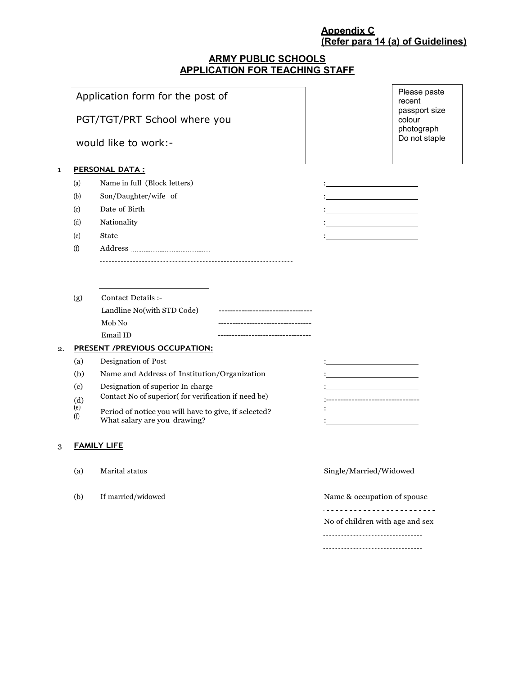# **Appendix C (Refer para 14 (a) of Guidelines)**

# **ARMY PUBLIC SCHOOLS APPLICATION FOR TEACHING STAFF**

|    |                                               | Application form for the post of<br>PGT/TGT/PRT School where you<br>would like to work:-                                                                                                                                                                                                                                                                           | Please paste<br>recent<br>passport size<br>colour<br>photograph<br>Do not staple |  |  |  |  |
|----|-----------------------------------------------|--------------------------------------------------------------------------------------------------------------------------------------------------------------------------------------------------------------------------------------------------------------------------------------------------------------------------------------------------------------------|----------------------------------------------------------------------------------|--|--|--|--|
| 1  | (a)<br>(b)<br>(c)<br>(d)<br>(e)<br>(f)        | <b>PERSONAL DATA:</b><br>Name in full (Block letters)<br>Son/Daughter/wife of<br>Date of Birth<br>Nationality<br><b>State</b>                                                                                                                                                                                                                                      |                                                                                  |  |  |  |  |
| 2. | (g)<br>(a)<br>(b)<br>(c)<br>(d)<br>(e)<br>(f) | Contact Details :-<br>Landline No(with STD Code)<br>Mob No<br>Email ID<br>PRESENT /PREVIOUS OCCUPATION:<br>Designation of Post<br>Name and Address of Institution/Organization<br>Designation of superior In charge<br>Contact No of superior(for verification if need be)<br>Period of notice you will have to give, if selected?<br>What salary are you drawing? | <u> 1980 - Johann Barbara, martxa alemaniar a</u><br>--------------------------- |  |  |  |  |
| 3  | <b>FAMILY LIFE</b>                            |                                                                                                                                                                                                                                                                                                                                                                    |                                                                                  |  |  |  |  |
|    | (a)                                           | Marital status                                                                                                                                                                                                                                                                                                                                                     | Single/Married/Widowed                                                           |  |  |  |  |
|    | (b)                                           | If married/widowed                                                                                                                                                                                                                                                                                                                                                 | Name & occupation of spouse<br>No of children with age and sex                   |  |  |  |  |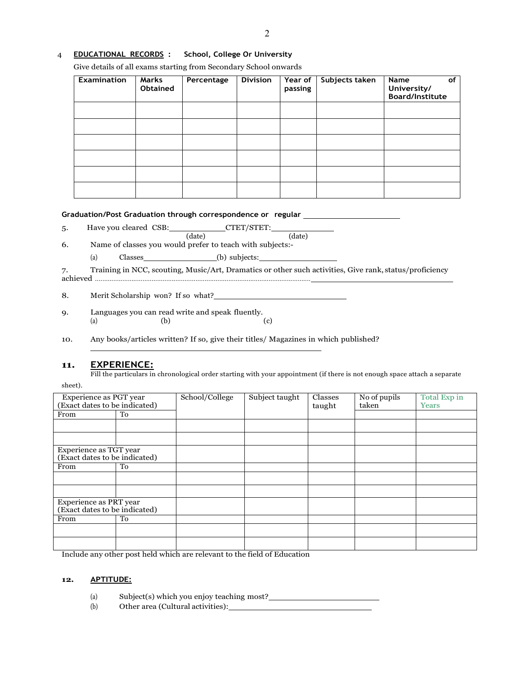### 4 **EDUCATIONAL RECORDS : School, College Or University**

Give details of all exams starting from Secondary School onwards

| <b>Examination</b> | Marks<br>Obtained | Percentage | <b>Division</b> | Year of<br>passing | Subjects taken | of<br>Name<br>University/<br><b>Board/Institute</b> |
|--------------------|-------------------|------------|-----------------|--------------------|----------------|-----------------------------------------------------|
|                    |                   |            |                 |                    |                |                                                     |
|                    |                   |            |                 |                    |                |                                                     |
|                    |                   |            |                 |                    |                |                                                     |
|                    |                   |            |                 |                    |                |                                                     |
|                    |                   |            |                 |                    |                |                                                     |
|                    |                   |            |                 |                    |                |                                                     |

#### **Graduation/Post Graduation through correspondence or regular**

5. Have you cleared CSB: CTET/STET:

(date) (date) 6. Name of classes you would prefer to teach with subjects:-

(a)  $\text{Classes}$  (b) subjects:

7. Training in NCC, scouting, Music/Art, Dramatics or other such activities, Give rank, status/proficiency achieved ......................................................................................................................

8. Merit Scholarship won? If so what?

9. Languages you can read write and speak fluently. (a)  $(b)$  (c)

10. Any books/articles written? If so, give their titles/ Magazines in which published?

# **11. EXPERIENCE:**

Fill the particulars in chronological order starting with your appointment (if there is not enough space attach a separate

|--|

| Experience as PGT year<br>(Exact dates to be indicated) |    | School/College | Subject taught | Classes<br>taught | No of pupils<br>taken | Total Exp in<br>Years |
|---------------------------------------------------------|----|----------------|----------------|-------------------|-----------------------|-----------------------|
| From                                                    | To |                |                |                   |                       |                       |
|                                                         |    |                |                |                   |                       |                       |
|                                                         |    |                |                |                   |                       |                       |
| Experience as TGT year                                  |    |                |                |                   |                       |                       |
| (Exact dates to be indicated)                           |    |                |                |                   |                       |                       |
| From                                                    | To |                |                |                   |                       |                       |
|                                                         |    |                |                |                   |                       |                       |
|                                                         |    |                |                |                   |                       |                       |
| Experience as PRT year                                  |    |                |                |                   |                       |                       |
| (Exact dates to be indicated)                           |    |                |                |                   |                       |                       |
| From                                                    | To |                |                |                   |                       |                       |
|                                                         |    |                |                |                   |                       |                       |
|                                                         |    |                |                |                   |                       |                       |

Include any other post held which are relevant to the field of Education

#### **12. APTITUDE:**

(a) Subject(s) which you enjoy teaching most?

(b) Other area (Cultural activities):